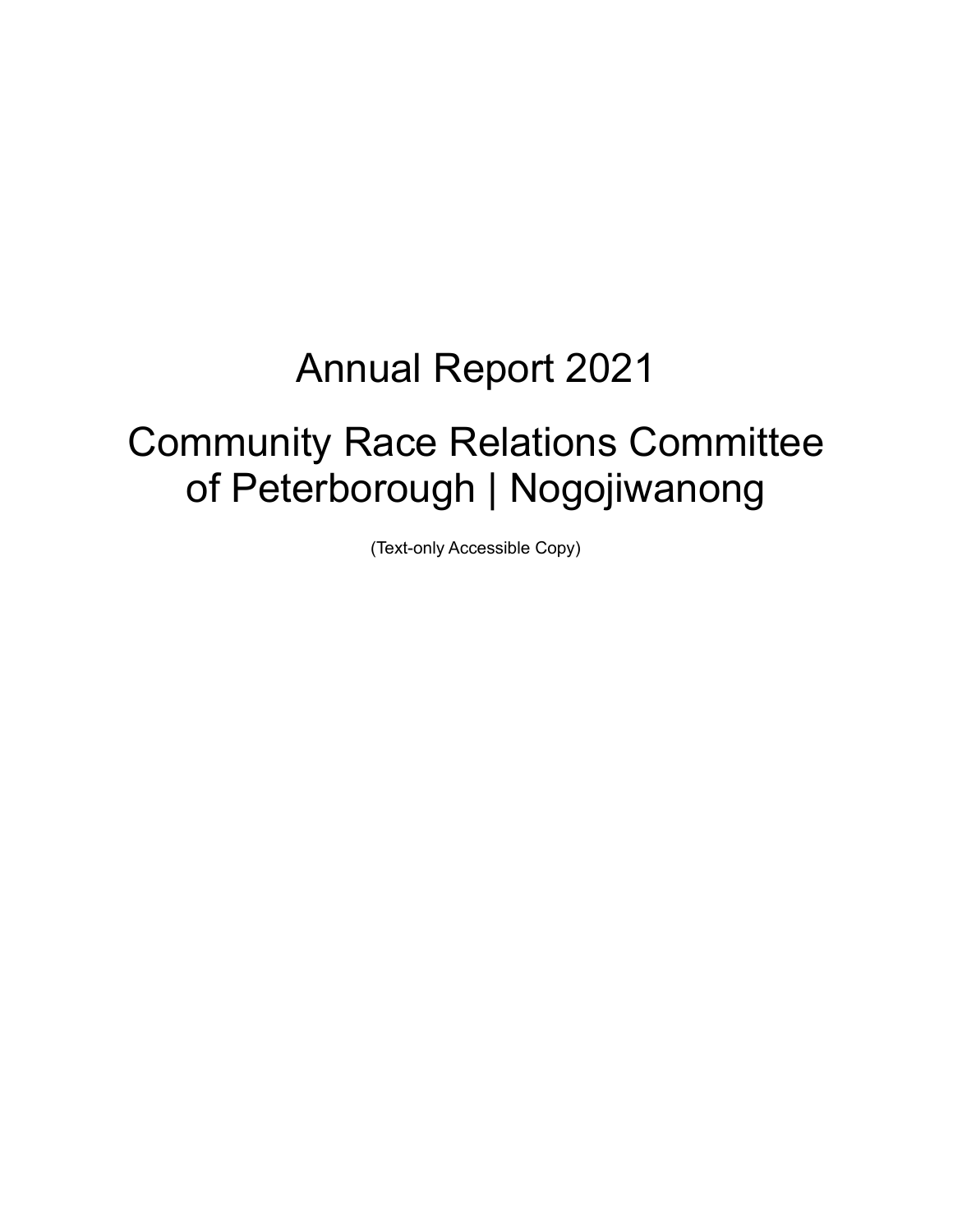# Annual Report 2021

# Community Race Relations Committee of Peterborough | Nogojiwanong

(Text-only Accessible Copy)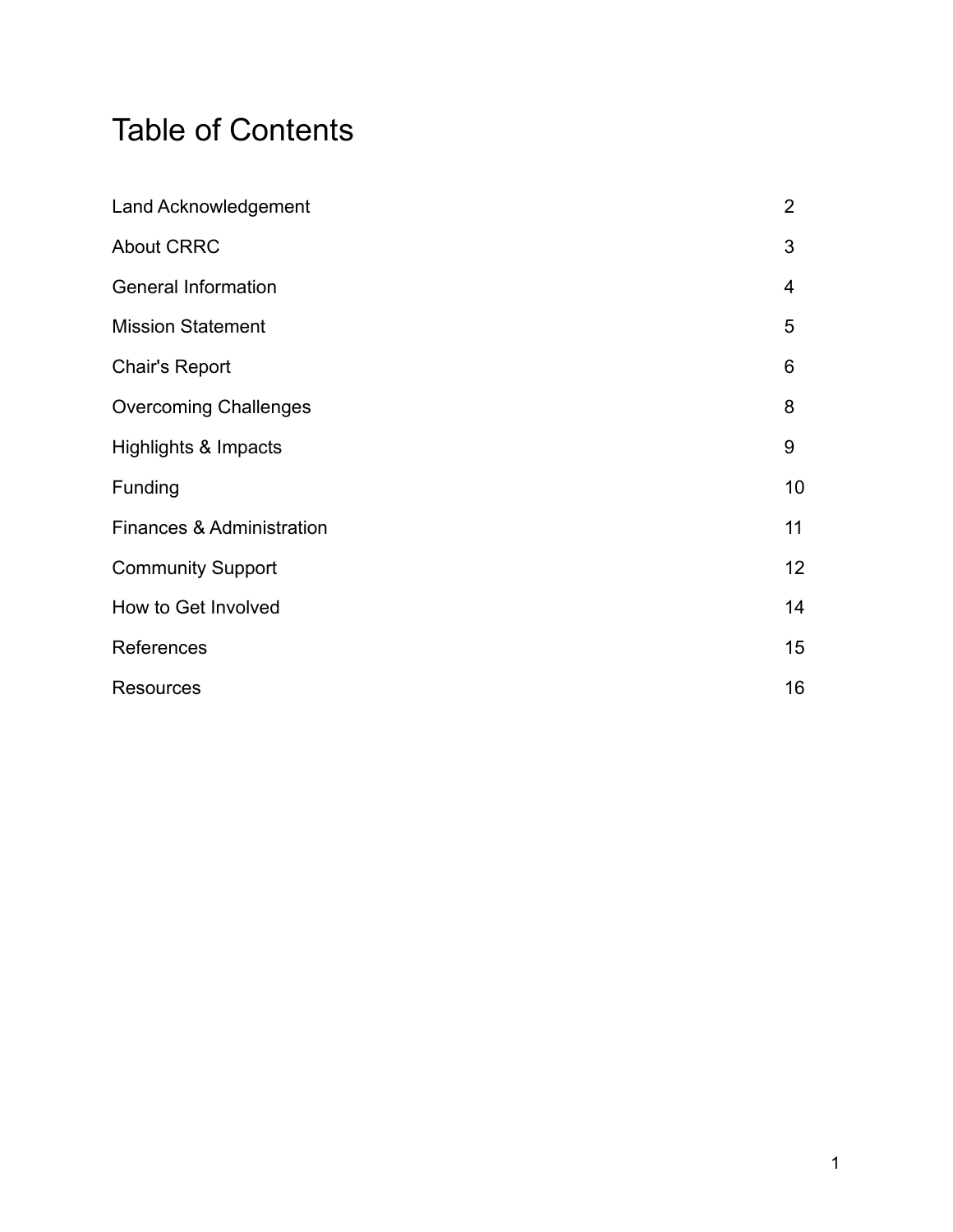# Table of Contents

| <b>Land Acknowledgement</b>     | $\overline{2}$  |
|---------------------------------|-----------------|
| <b>About CRRC</b>               | 3               |
| <b>General Information</b>      | 4               |
| <b>Mission Statement</b>        | 5               |
| <b>Chair's Report</b>           | 6               |
| <b>Overcoming Challenges</b>    | 8               |
| <b>Highlights &amp; Impacts</b> | 9               |
| Funding                         | 10              |
| Finances & Administration       | 11              |
| <b>Community Support</b>        | 12 <sub>2</sub> |
| How to Get Involved             | 14              |
| References                      | 15              |
| <b>Resources</b>                | 16              |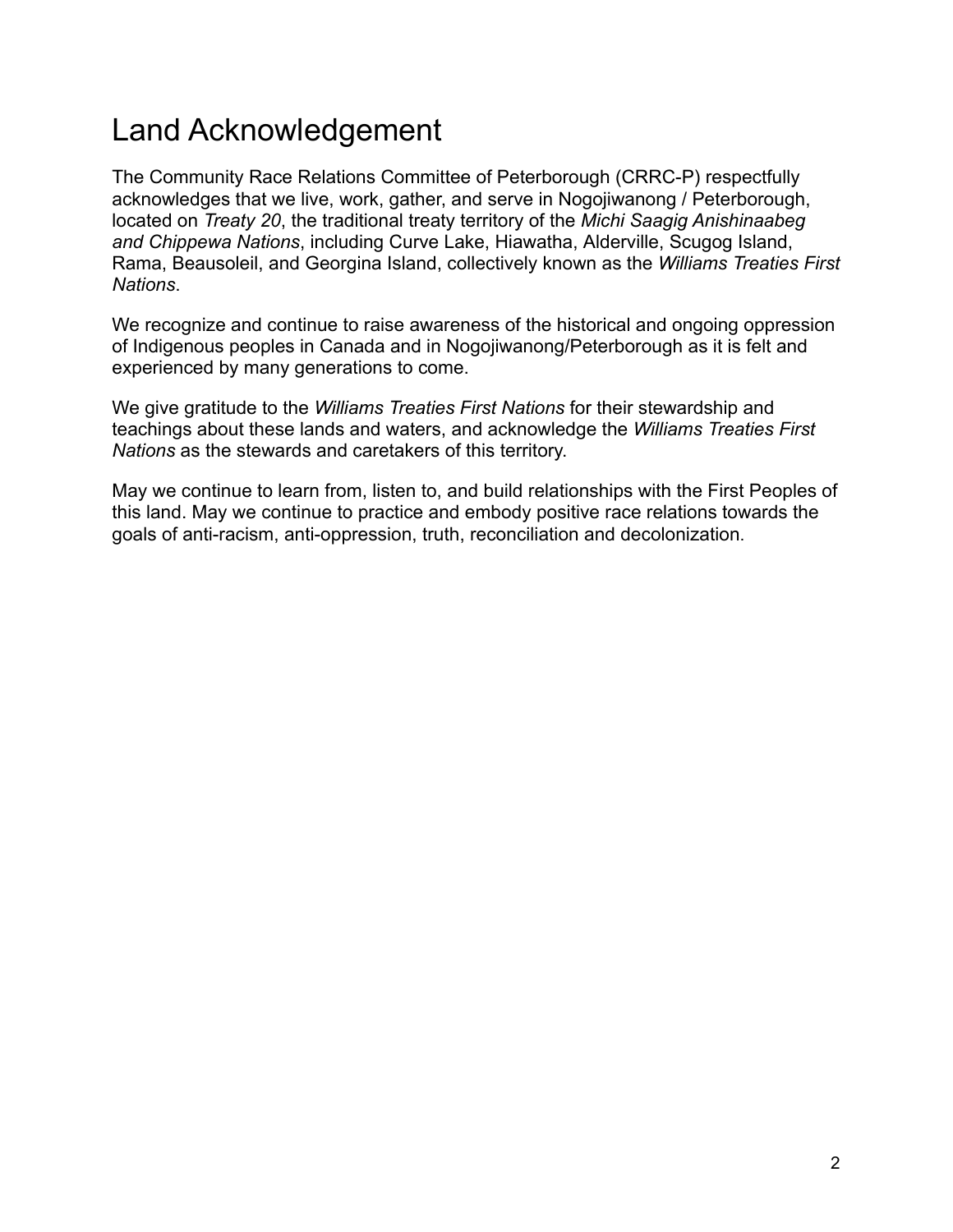### Land Acknowledgement

The Community Race Relations Committee of Peterborough (CRRC-P) respectfully acknowledges that we live, work, gather, and serve in Nogojiwanong / Peterborough, located on *Treaty 20*, the traditional treaty territory of the *Michi Saagig Anishinaabeg and Chippewa Nations*, including Curve Lake, Hiawatha, Alderville, Scugog Island, Rama, Beausoleil, and Georgina Island, collectively known as the *Williams Treaties First Nations*.

We recognize and continue to raise awareness of the historical and ongoing oppression of Indigenous peoples in Canada and in Nogojiwanong/Peterborough as it is felt and experienced by many generations to come.

We give gratitude to the *Williams Treaties First Nations* for their stewardship and teachings about these lands and waters, and acknowledge the *Williams Treaties First Nations* as the stewards and caretakers of this territory.

May we continue to learn from, listen to, and build relationships with the First Peoples of this land. May we continue to practice and embody positive race relations towards the goals of anti-racism, anti-oppression, truth, reconciliation and decolonization.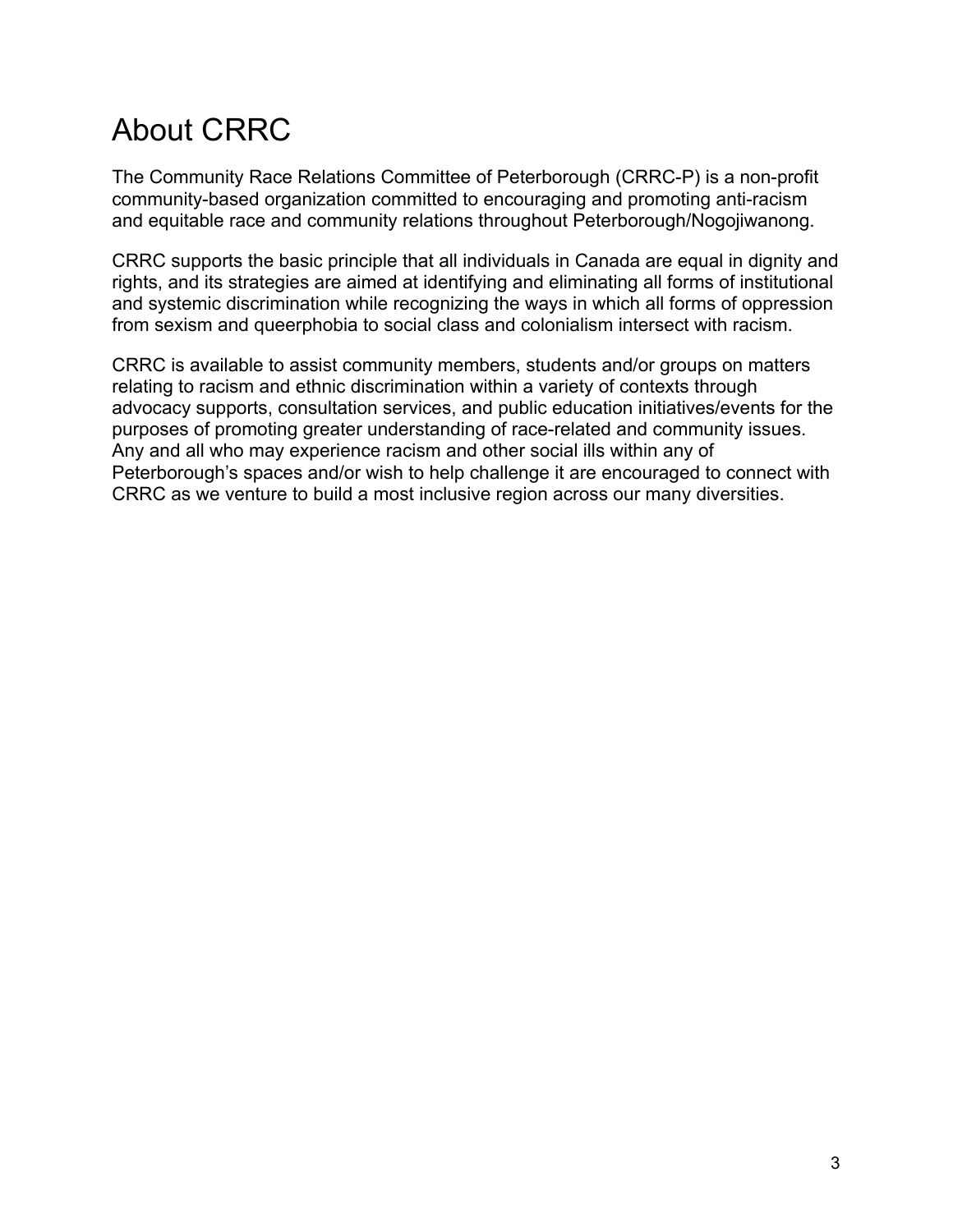# About CRRC

The Community Race Relations Committee of Peterborough (CRRC-P) is a non-profit community-based organization committed to encouraging and promoting anti-racism and equitable race and community relations throughout Peterborough/Nogojiwanong.

CRRC supports the basic principle that all individuals in Canada are equal in dignity and rights, and its strategies are aimed at identifying and eliminating all forms of institutional and systemic discrimination while recognizing the ways in which all forms of oppression from sexism and queerphobia to social class and colonialism intersect with racism.

CRRC is available to assist community members, students and/or groups on matters relating to racism and ethnic discrimination within a variety of contexts through advocacy supports, consultation services, and public education initiatives/events for the purposes of promoting greater understanding of race-related and community issues. Any and all who may experience racism and other social ills within any of Peterborough's spaces and/or wish to help challenge it are encouraged to [connect with](http://crrcpeterborough.benwolfedesign.com/contact-us/) [CRRC](http://crrcpeterborough.benwolfedesign.com/contact-us/) as we venture to build a most inclusive region across our many diversities.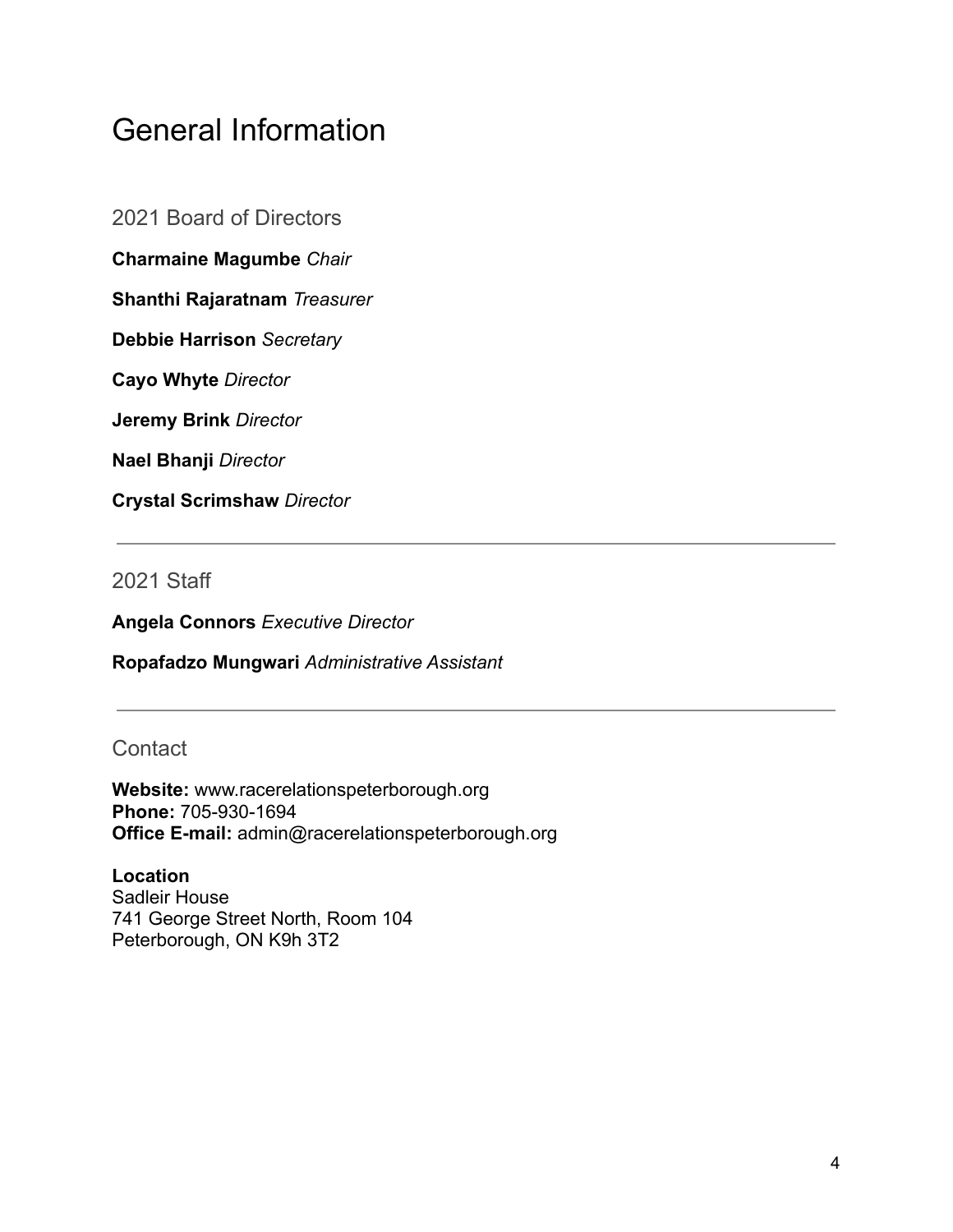### General Information

2021 Board of Directors

**Charmaine Magumbe** *Chair*

**Shanthi Rajaratnam** *Treasurer*

**Debbie Harrison** *Secretary*

**Cayo Whyte** *Director*

**Jeremy Brink** *Director*

**Nael Bhanji** *Director*

**Crystal Scrimshaw** *Director*

2021 Staff

**Angela Connors** *Executive Director*

**Ropafadzo Mungwari** *Administrative Assistant*

**Contact** 

**Website:** www.racerelationspeterborough.org **Phone:** 705-930-1694 **Office E-mail:** admin@racerelationspeterborough.org

**Location** Sadleir House 741 George Street North, Room 104 Peterborough, ON K9h 3T2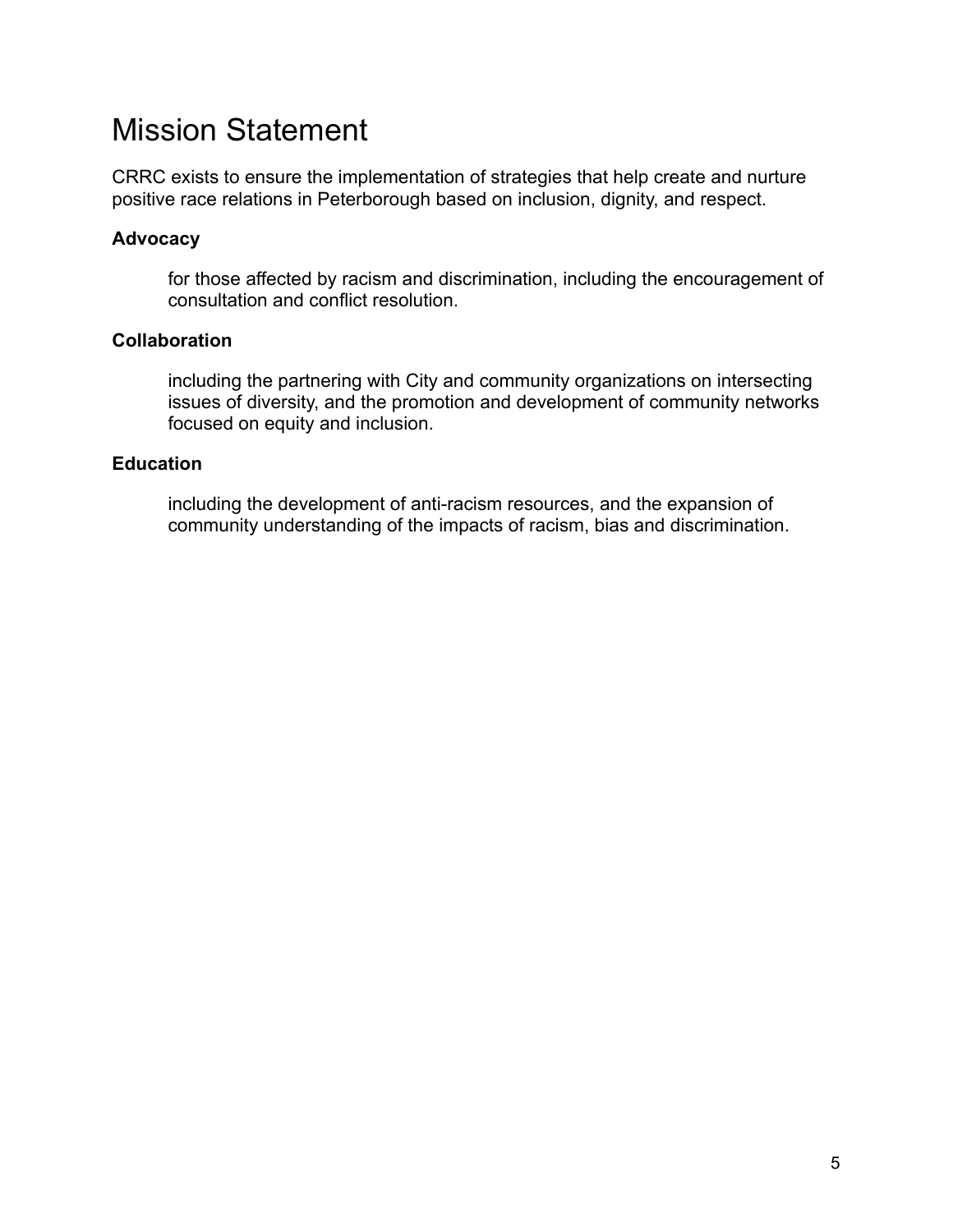### Mission Statement

CRRC exists to ensure the implementation of strategies that help create and nurture positive race relations in Peterborough based on inclusion, dignity, and respect.

#### **Advocacy**

for those affected by racism and discrimination, including the encouragement of consultation and conflict resolution.

#### **Collaboration**

including the partnering with City and community organizations on intersecting issues of diversity, and the promotion and development of community networks focused on equity and inclusion.

#### **Education**

including the development of anti-racism resources, and the expansion of community understanding of the impacts of racism, bias and discrimination.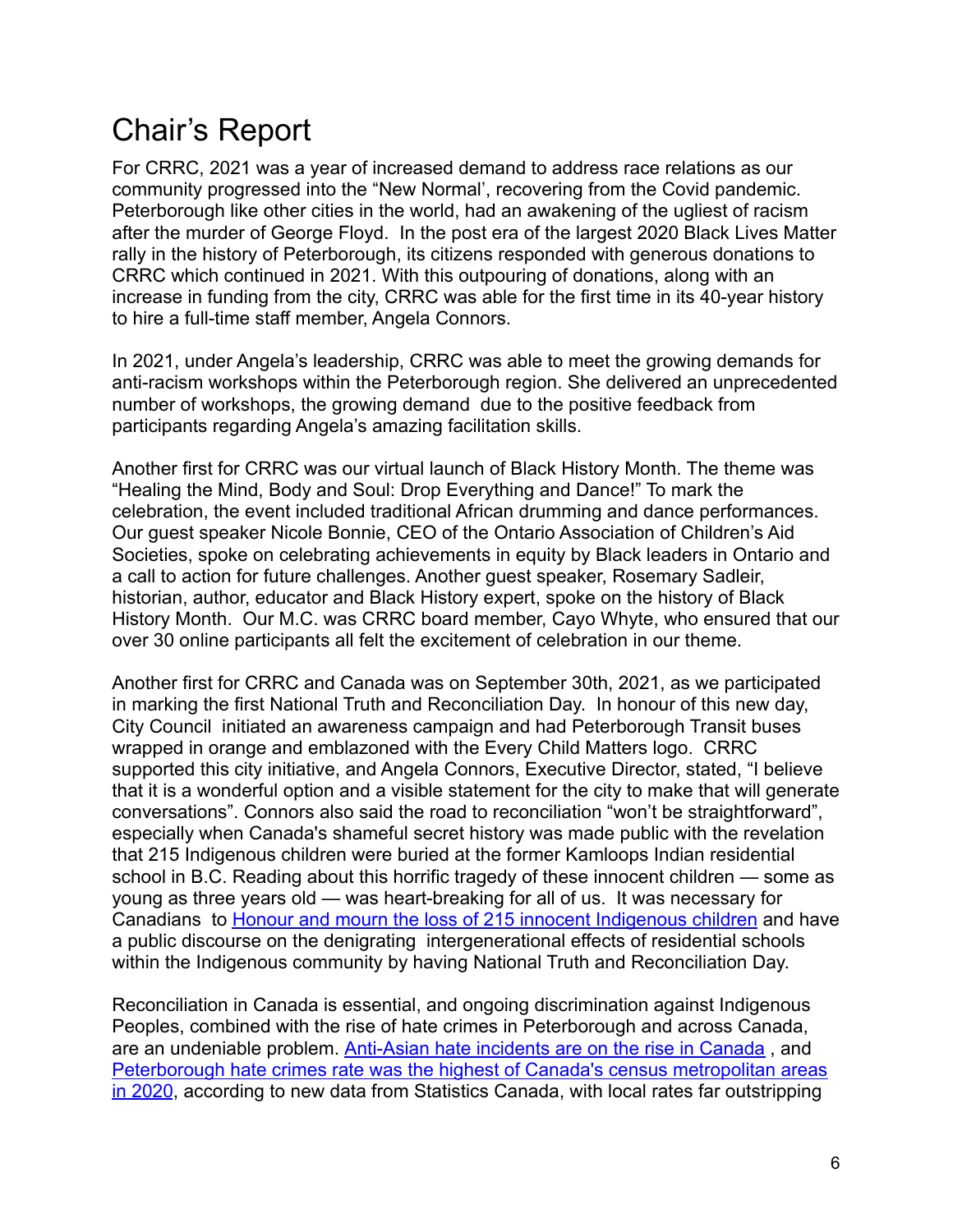### Chair's Report

For CRRC, 2021 was a year of increased demand to address race relations as our community progressed into the "New Normal', recovering from the Covid pandemic. Peterborough like other cities in the world, had an awakening of the ugliest of racism after the murder of George Floyd. In the post era of the largest 2020 Black Lives Matter rally in the history of Peterborough, its citizens responded with generous donations to CRRC which continued in 2021. With this outpouring of donations, along with an increase in funding from the city, CRRC was able for the first time in its 40-year history to hire a full-time staff member, Angela Connors.

In 2021, under Angela's leadership, CRRC was able to meet the growing demands for anti-racism workshops within the Peterborough region. She delivered an unprecedented number of workshops, the growing demand due to the positive feedback from participants regarding Angela's amazing facilitation skills.

Another first for CRRC was our virtual launch of Black History Month. The theme was "Healing the Mind, Body and Soul: Drop Everything and Dance!" To mark the celebration, the event included traditional African drumming and dance performances. Our guest speaker Nicole Bonnie, CEO of the Ontario Association of Children's Aid Societies, spoke on celebrating achievements in equity by Black leaders in Ontario and a call to action for future challenges. Another guest speaker, Rosemary Sadleir, historian, author, educator and Black History expert, spoke on the history of Black History Month. Our M.C. was CRRC board member, Cayo Whyte, who ensured that our over 30 online participants all felt the excitement of celebration in our theme.

Another first for CRRC and Canada was on September 30th, 2021, as we participated in marking the first National Truth and Reconciliation Day. In honour of this new day, City Council initiated an awareness campaign and had Peterborough Transit buses wrapped in orange and emblazoned with the Every Child Matters logo. CRRC supported this city initiative, and Angela Connors, Executive Director, stated, "I believe that it is a wonderful option and a visible statement for the city to make that will generate conversations". Connors also said the road to reconciliation "won't be straightforward", especially when Canada's shameful secret history was made public with the revelation that 215 Indigenous children were buried at the former Kamloops Indian residential school in B.C. Reading about this horrific tragedy of these innocent children — some as young as three years old — was heart-breaking for all of us. It was necessary for Canadians to [Honour and mourn the loss of 215 innocent](https://www.thepeterboroughexaminer.com/opinion/columnists/2021/06/03/charmaine-magumbe-honour-and-mourn-the-loss-of-215-innocent-indigenous-children.html) Indigenous children and have a public discourse on the denigrating intergenerational effects of residential schools within the Indigenous community by having National Truth and Reconciliation Day.

Reconciliation in Canada is essential, and ongoing discrimination against Indigenous Peoples, combined with the rise of hate crimes in Peterborough and across Canada, are an undeniable problem. Anti-Asian hate incidents [are on the rise in Canada](https://www.thepeterboroughexaminer.com/opinion/columnists/2021/04/09/charmaine-magumbe-anti-asian-hate-incidents-are-on-the-rise-in-canada.html) , and [Peterborough hate crimes rate was the highest of Canada's census metropolitan areas](https://www.thepeterboroughexaminer.com/news/peterborough-region/2022/03/21/peterborough-hate-crimes-rate-highest-of-canadas-census-metropolitan-areas-in-2020.html) [in 2020](https://www.thepeterboroughexaminer.com/news/peterborough-region/2022/03/21/peterborough-hate-crimes-rate-highest-of-canadas-census-metropolitan-areas-in-2020.html), according to new data from Statistics Canada, with local rates far outstripping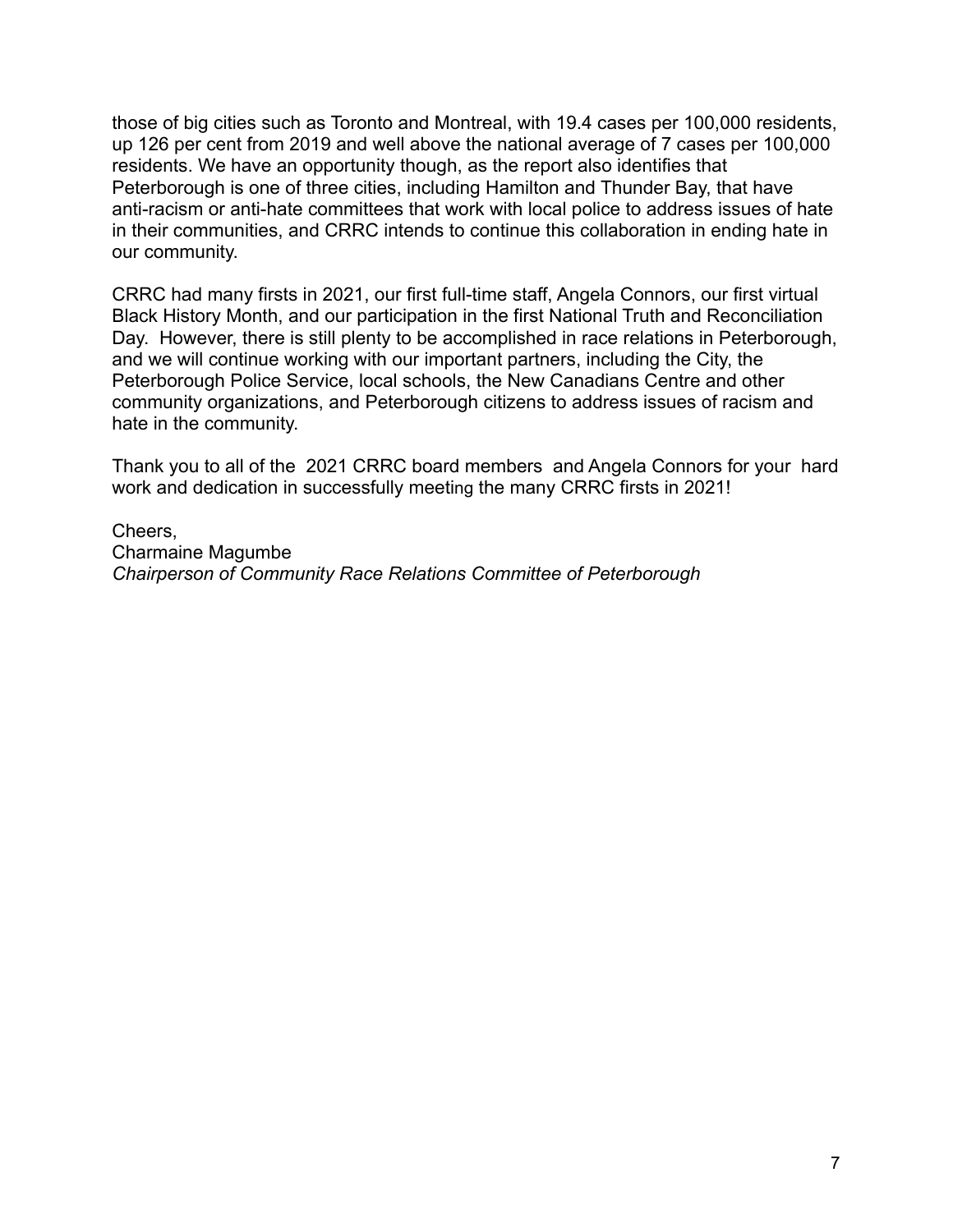those of big cities such as Toronto and Montreal, with 19.4 cases per 100,000 residents, up 126 per cent from 2019 and well above the national average of 7 cases per 100,000 residents. We have an opportunity though, as the report also identifies that Peterborough is one of three cities, including Hamilton and Thunder Bay, that have anti-racism or anti-hate committees that work with local police to address issues of hate in their communities, and CRRC intends to continue this collaboration in ending hate in our community.

CRRC had many firsts in 2021, our first full-time staff, Angela Connors, our first virtual Black History Month, and our participation in the first National Truth and Reconciliation Day. However, there is still plenty to be accomplished in race relations in Peterborough, and we will continue working with our important partners, including the City, the Peterborough Police Service, local schools, the New Canadians Centre and other community organizations, and Peterborough citizens to address issues of racism and hate in the community.

Thank you to all of the 2021 CRRC board members and Angela Connors for your hard work and dedication in successfully meeting the many CRRC firsts in 2021!

Cheers, Charmaine Magumbe *Chairperson of Community Race Relations Committee of Peterborough*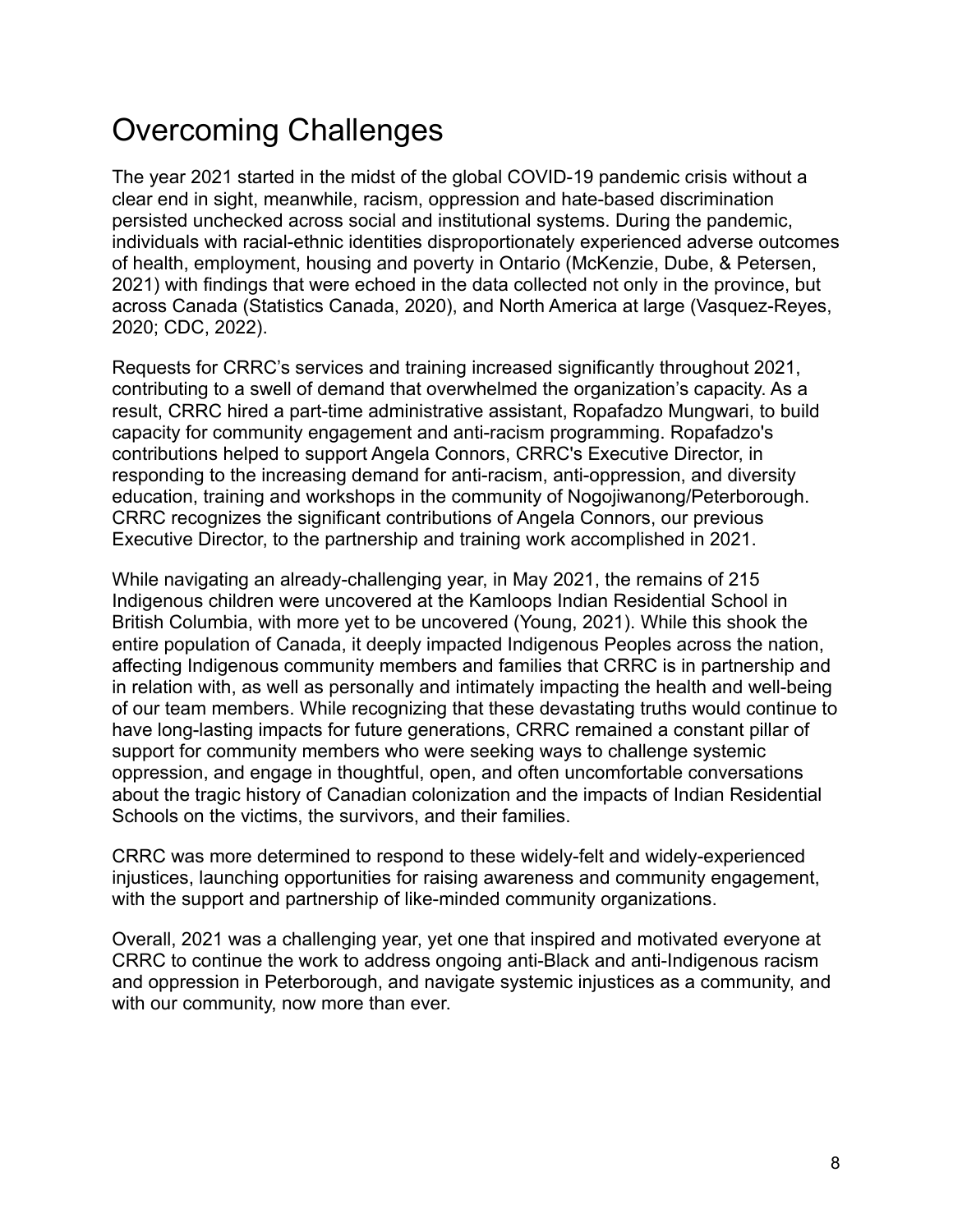### Overcoming Challenges

The year 2021 started in the midst of the global COVID-19 pandemic crisis without a clear end in sight, meanwhile, racism, oppression and hate-based discrimination persisted unchecked across social and institutional systems. During the pandemic, individuals with racial-ethnic identities disproportionately experienced adverse outcomes of health, employment, housing and poverty in Ontario (McKenzie, Dube, & Petersen, 2021) with findings that were echoed in the data collected not only in the province, but across Canada (Statistics Canada, 2020), and North America at large (Vasquez-Reyes, 2020; CDC, 2022).

Requests for CRRC's services and training increased significantly throughout 2021, contributing to a swell of demand that overwhelmed the organization's capacity. As a result, CRRC hired a part-time administrative assistant, Ropafadzo Mungwari, to build capacity for community engagement and anti-racism programming. Ropafadzo's contributions helped to support Angela Connors, CRRC's Executive Director, in responding to the increasing demand for anti-racism, anti-oppression, and diversity education, training and workshops in the community of Nogojiwanong/Peterborough. CRRC recognizes the significant contributions of Angela Connors, our previous Executive Director, to the partnership and training work accomplished in 2021.

While navigating an already-challenging year, in May 2021, the remains of 215 Indigenous children were uncovered at the Kamloops Indian Residential School in British Columbia, with more yet to be uncovered (Young, 2021). While this shook the entire population of Canada, it deeply impacted Indigenous Peoples across the nation, affecting Indigenous community members and families that CRRC is in partnership and in relation with, as well as personally and intimately impacting the health and well-being of our team members. While recognizing that these devastating truths would continue to have long-lasting impacts for future generations, CRRC remained a constant pillar of support for community members who were seeking ways to challenge systemic oppression, and engage in thoughtful, open, and often uncomfortable conversations about the tragic history of Canadian colonization and the impacts of Indian Residential Schools on the victims, the survivors, and their families.

CRRC was more determined to respond to these widely-felt and widely-experienced injustices, launching opportunities for raising awareness and community engagement, with the support and partnership of like-minded community organizations.

Overall, 2021 was a challenging year, yet one that inspired and motivated everyone at CRRC to continue the work to address ongoing anti-Black and anti-Indigenous racism and oppression in Peterborough, and navigate systemic injustices as a community, and with our community, now more than ever.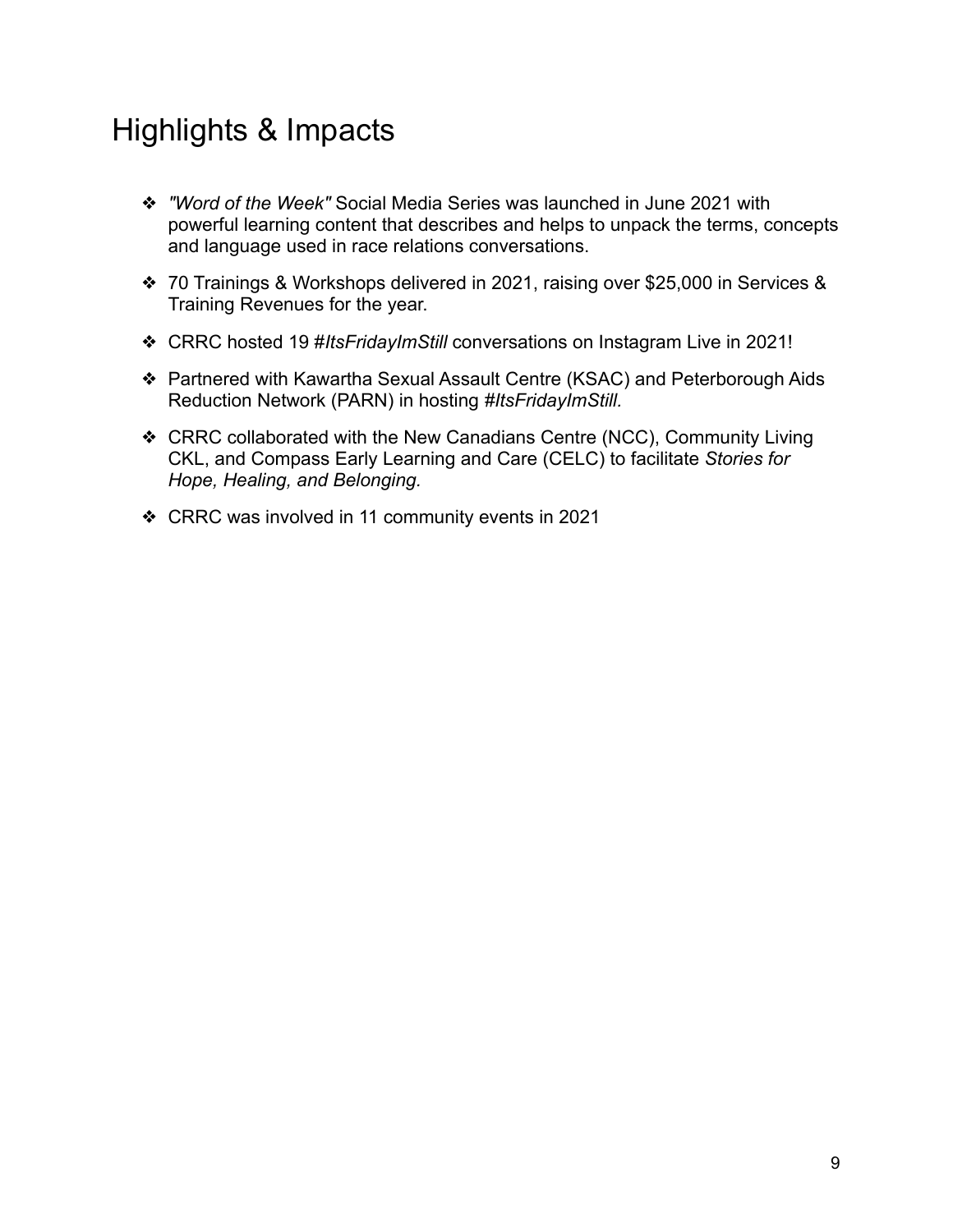### Highlights & Impacts

- ❖ *"Word of the Week"* Social Media Series was launched in June 2021 with powerful learning content that describes and helps to unpack the terms, concepts and language used in race relations conversations.
- ❖ 70 Trainings & Workshops delivered in 2021, raising over \$25,000 in Services & Training Revenues for the year.
- ❖ CRRC hosted 19 #*ItsFridayImStill* conversations on Instagram Live in 2021!
- ❖ Partnered with Kawartha Sexual Assault Centre (KSAC) and Peterborough Aids Reduction Network (PARN) in hosting *#ItsFridayImStill.*
- ❖ CRRC collaborated with the New Canadians Centre (NCC), Community Living CKL, and Compass Early Learning and Care (CELC) to facilitate *Stories for Hope, Healing, and Belonging.*
- ❖ CRRC was involved in 11 community events in 2021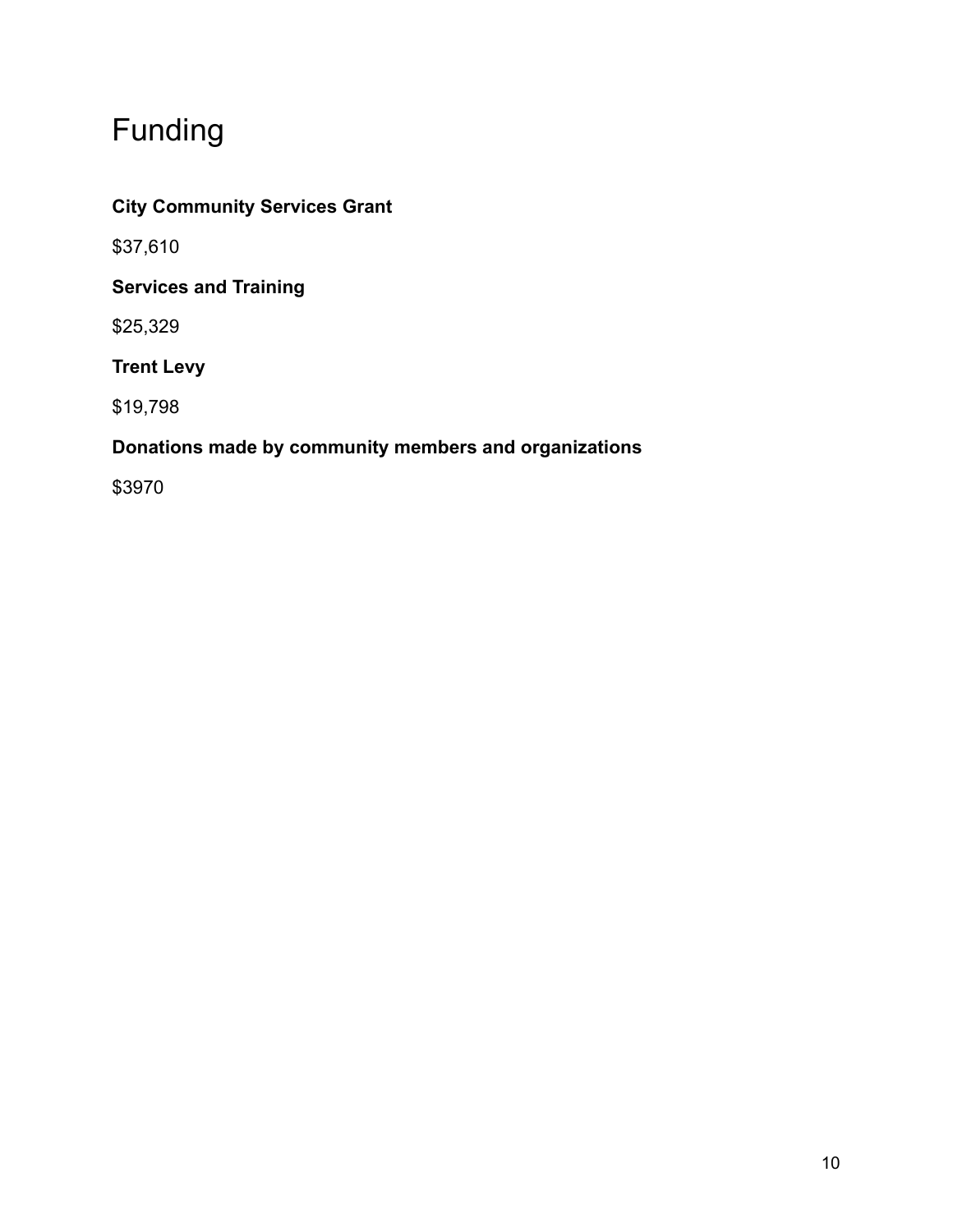### Funding

### **City Community Services Grant**

\$37,610

### **Services and Training**

\$25,329

**Trent Levy**

\$19,798

### **Donations made by community members and organizations**

\$3970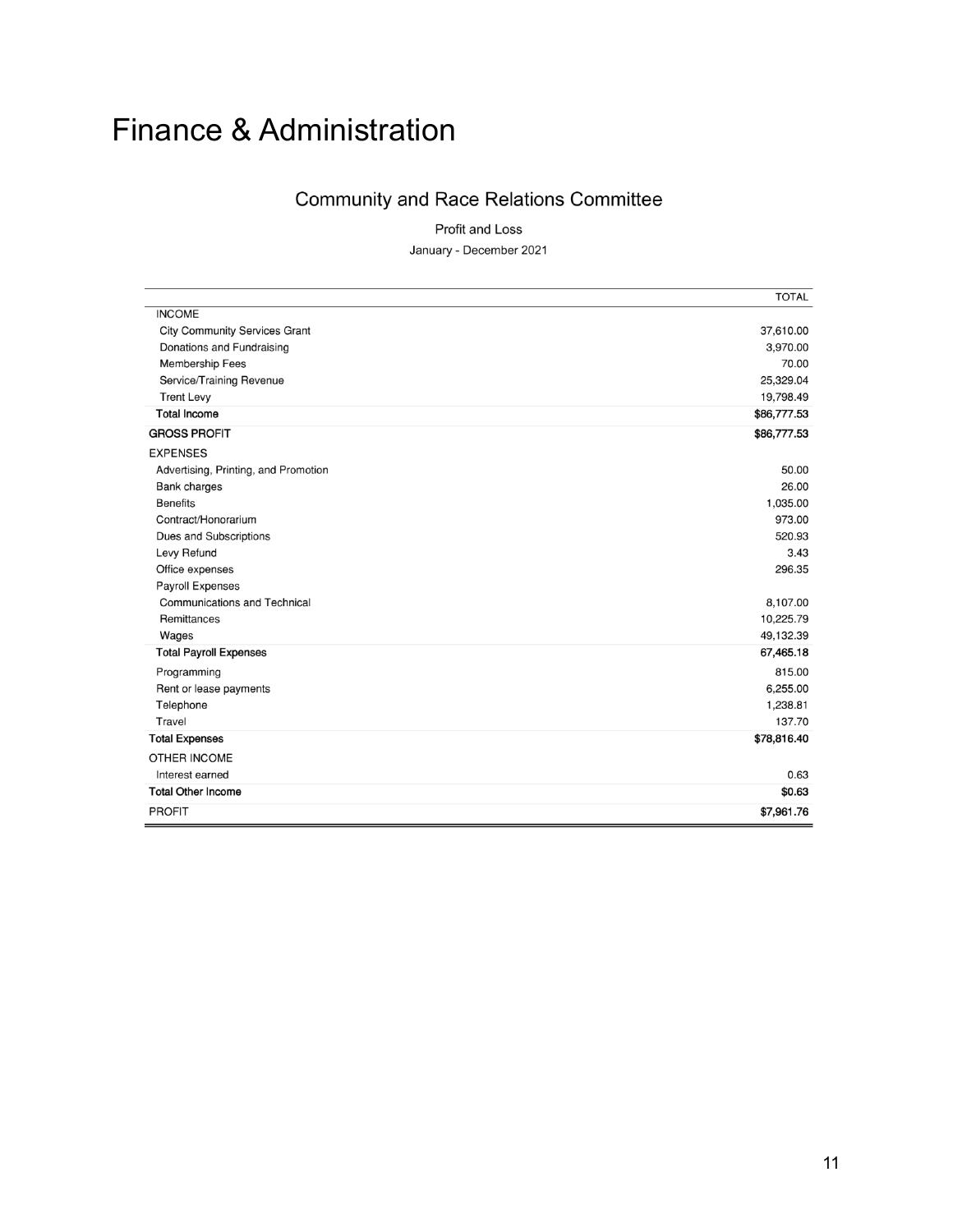# Finance & Administration

#### **Community and Race Relations Committee**

Profit and Loss January - December 2021

|                                      | <b>TOTAL</b> |
|--------------------------------------|--------------|
| <b>INCOME</b>                        |              |
| <b>City Community Services Grant</b> | 37,610.00    |
| Donations and Fundraising            | 3,970.00     |
| Membership Fees                      | 70.00        |
| Service/Training Revenue             | 25,329.04    |
| <b>Trent Levy</b>                    | 19,798.49    |
| <b>Total Income</b>                  | \$86,777.53  |
| <b>GROSS PROFIT</b>                  | \$86,777.53  |
| <b>EXPENSES</b>                      |              |
| Advertising, Printing, and Promotion | 50.00        |
| <b>Bank charges</b>                  | 26.00        |
| <b>Benefits</b>                      | 1,035.00     |
| Contract/Honorarium                  | 973.00       |
| Dues and Subscriptions               | 520.93       |
| Levy Refund                          | 3.43         |
| Office expenses                      | 296.35       |
| Payroll Expenses                     |              |
| <b>Communications and Technical</b>  | 8,107.00     |
| Remittances                          | 10,225.79    |
| Wages                                | 49,132.39    |
| <b>Total Payroll Expenses</b>        | 67,465.18    |
| Programming                          | 815.00       |
| Rent or lease payments               | 6,255.00     |
| Telephone                            | 1,238.81     |
| Travel                               | 137.70       |
| <b>Total Expenses</b>                | \$78,816.40  |
| OTHER INCOME                         |              |
| Interest earned                      | 0.63         |
| <b>Total Other Income</b>            | \$0.63       |
| <b>PROFIT</b>                        | \$7,961.76   |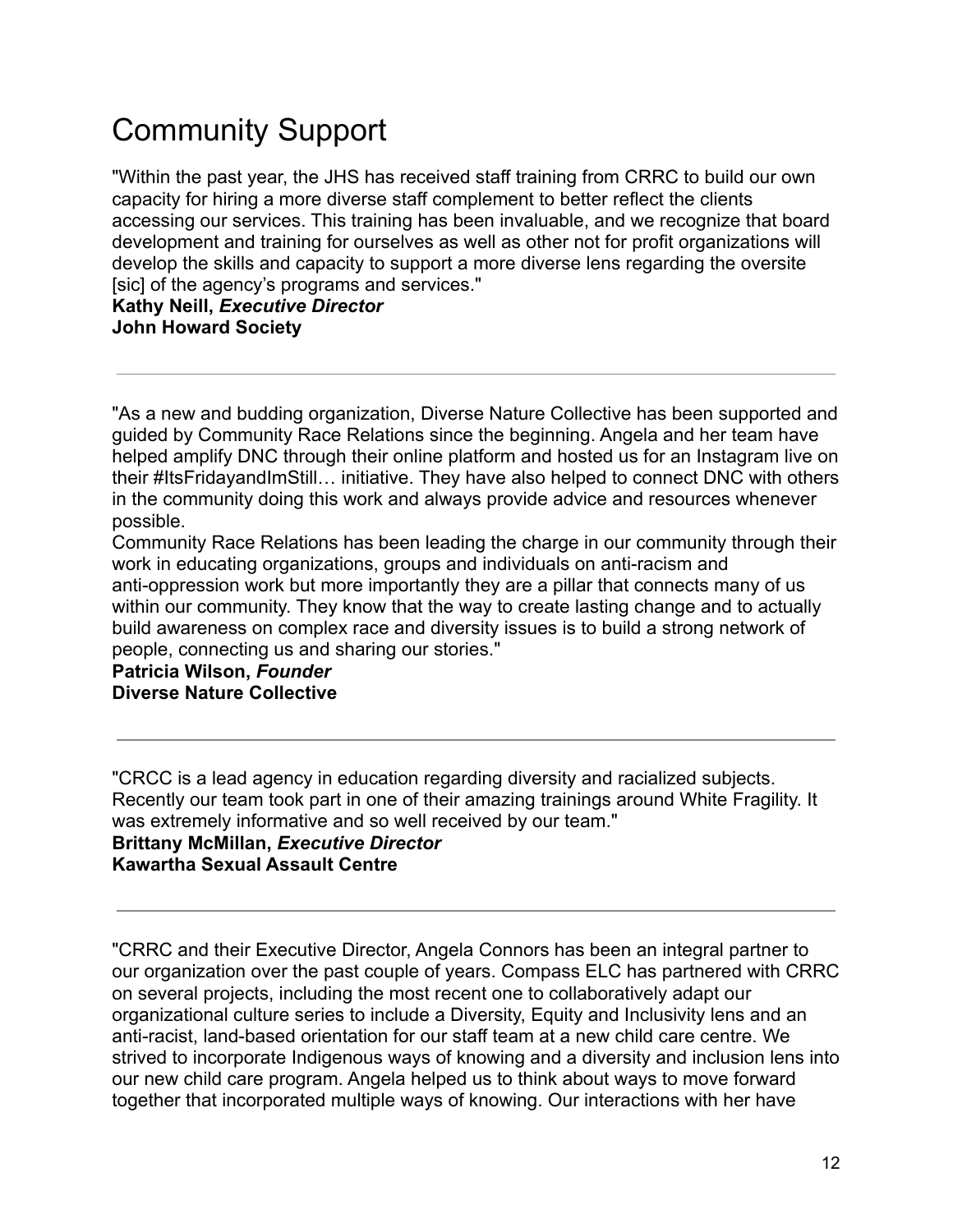# Community Support

"Within the past year, the JHS has received staff training from CRRC to build our own capacity for hiring a more diverse staff complement to better reflect the clients accessing our services. This training has been invaluable, and we recognize that board development and training for ourselves as well as other not for profit organizations will develop the skills and capacity to support a more diverse lens regarding the oversite [sic] of the agency's programs and services."

**Kathy Neill,** *Executive Director* **John Howard Society**

"As a new and budding organization, Diverse Nature Collective has been supported and guided by Community Race Relations since the beginning. Angela and her team have helped amplify DNC through their online platform and hosted us for an Instagram live on their #ItsFridayandImStill… initiative. They have also helped to connect DNC with others in the community doing this work and always provide advice and resources whenever possible.

Community Race Relations has been leading the charge in our community through their work in educating organizations, groups and individuals on anti-racism and anti-oppression work but more importantly they are a pillar that connects many of us within our community. They know that the way to create lasting change and to actually build awareness on complex race and diversity issues is to build a strong network of people, connecting us and sharing our stories."

**Patricia Wilson,** *Founder* **Diverse Nature Collective**

"CRCC is a lead agency in education regarding diversity and racialized subjects. Recently our team took part in one of their amazing trainings around White Fragility. It was extremely informative and so well received by our team." **Brittany McMillan,** *Executive Director* **Kawartha Sexual Assault Centre**

"CRRC and their Executive Director, Angela Connors has been an integral partner to our organization over the past couple of years. Compass ELC has partnered with CRRC on several projects, including the most recent one to collaboratively adapt our organizational culture series to include a Diversity, Equity and Inclusivity lens and an anti-racist, land-based orientation for our staff team at a new child care centre. We strived to incorporate Indigenous ways of knowing and a diversity and inclusion lens into our new child care program. Angela helped us to think about ways to move forward together that incorporated multiple ways of knowing. Our interactions with her have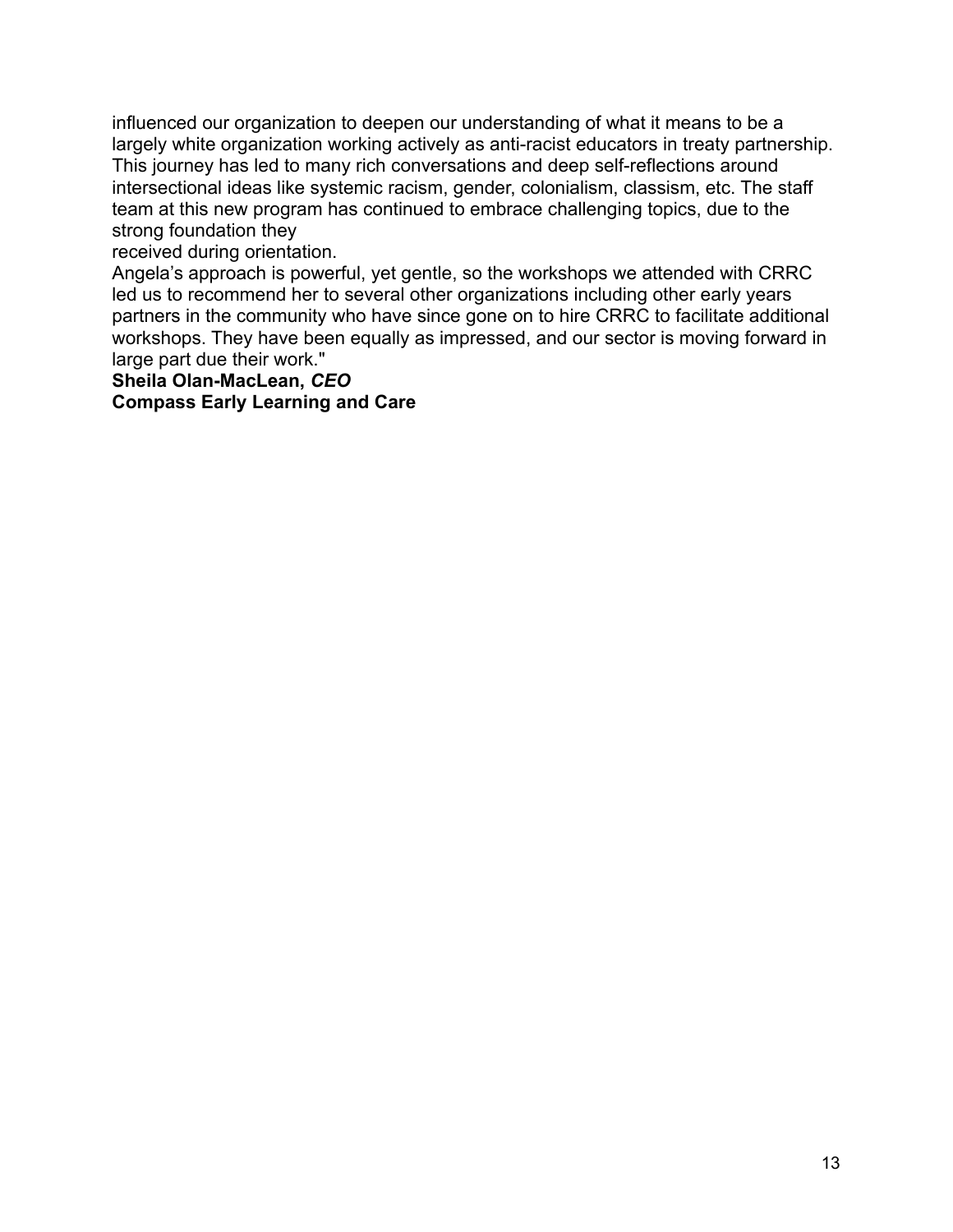influenced our organization to deepen our understanding of what it means to be a largely white organization working actively as anti-racist educators in treaty partnership. This journey has led to many rich conversations and deep self-reflections around intersectional ideas like systemic racism, gender, colonialism, classism, etc. The staff team at this new program has continued to embrace challenging topics, due to the strong foundation they

received during orientation.

Angela's approach is powerful, yet gentle, so the workshops we attended with CRRC led us to recommend her to several other organizations including other early years partners in the community who have since gone on to hire CRRC to facilitate additional workshops. They have been equally as impressed, and our sector is moving forward in large part due their work."

**Sheila Olan-MacLean,** *CEO* **Compass Early Learning and Care**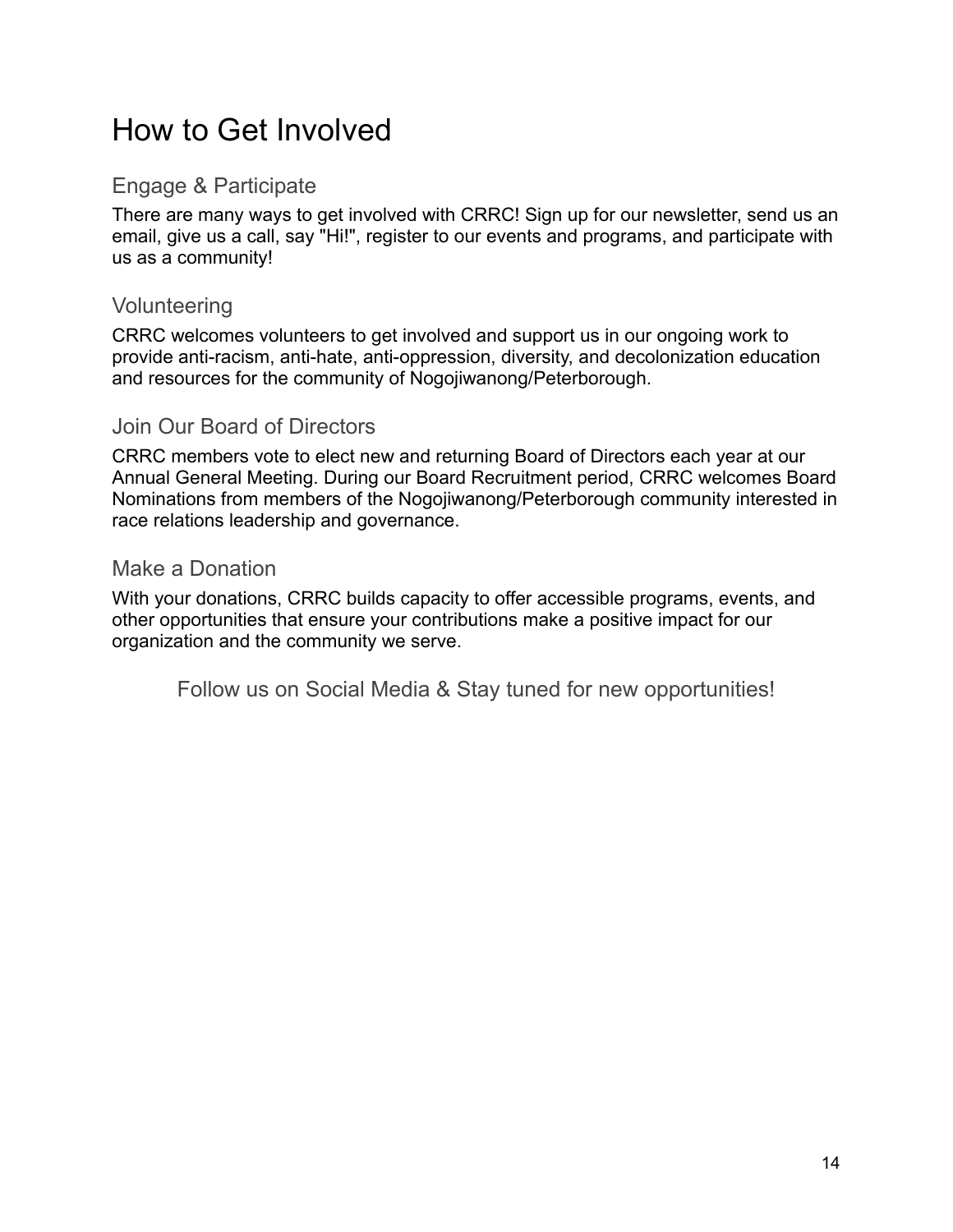### How to Get Involved

### Engage & Participate

There are many ways to get involved with CRRC! Sign up for our newsletter, send us an email, give us a call, say "Hi!", register to our events and programs, and participate with us as a community!

#### Volunteering

CRRC welcomes volunteers to get involved and support us in our ongoing work to provide anti-racism, anti-hate, anti-oppression, diversity, and decolonization education and resources for the community of Nogojiwanong/Peterborough.

### Join Our Board of Directors

CRRC members vote to elect new and returning Board of Directors each year at our Annual General Meeting. During our Board Recruitment period, CRRC welcomes Board Nominations from members of the Nogojiwanong/Peterborough community interested in race relations leadership and governance.

#### Make a Donation

With your donations, CRRC builds capacity to offer accessible programs, events, and other opportunities that ensure your contributions make a positive impact for our organization and the community we serve.

Follow us on Social Media & Stay tuned for new opportunities!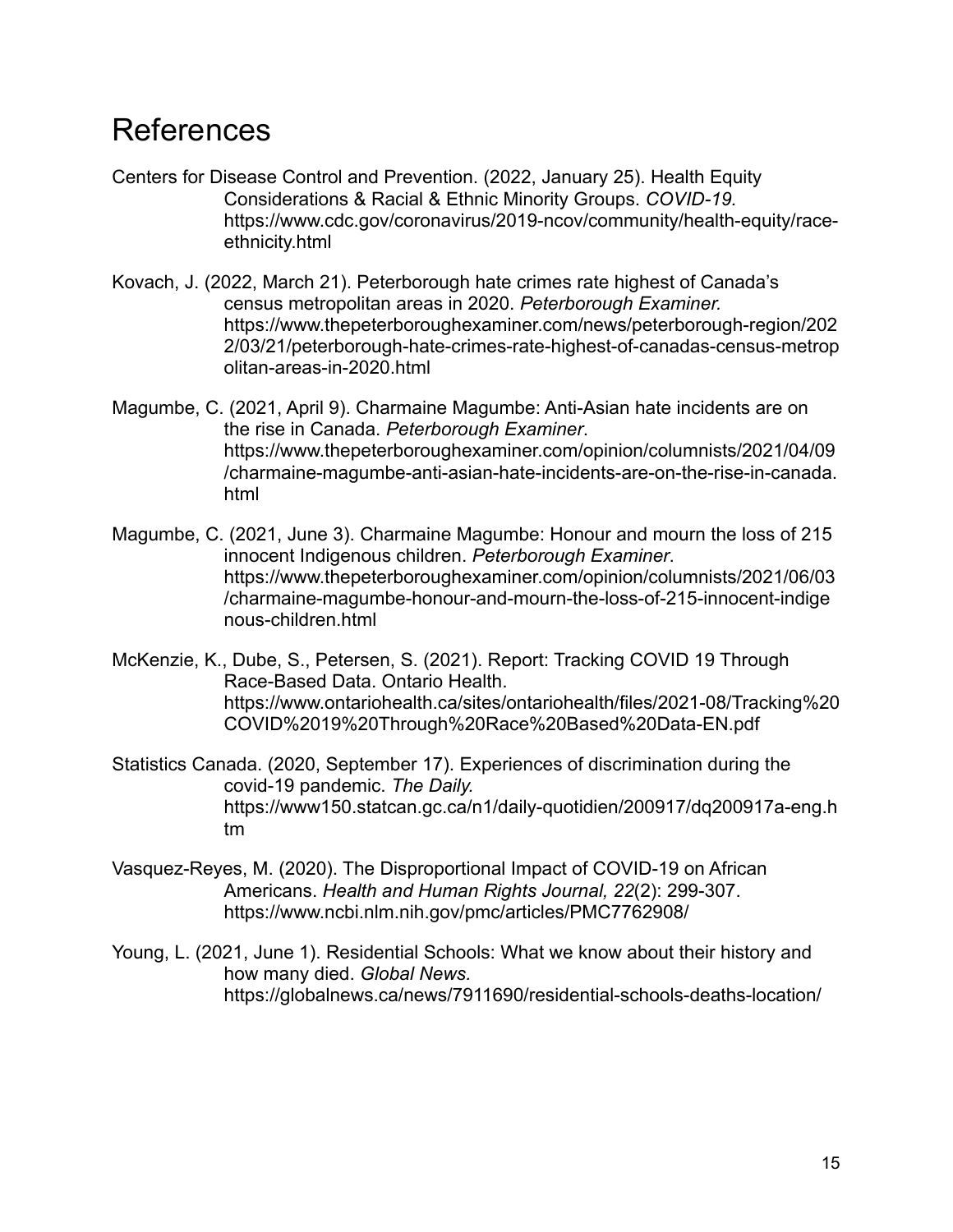### References

- Centers for Disease Control and Prevention. (2022, January 25). Health Equity Considerations & Racial & Ethnic Minority Groups. *COVID-19[.](https://www.cdc.gov/coronavirus/2019-ncov/community/health-equity/race-ethnicity.html)* [https://www.cdc.gov/coronavirus/2019-ncov/community/health-equity/race](https://www.cdc.gov/coronavirus/2019-ncov/community/health-equity/race-ethnicity.html)[ethnicity.html](https://www.cdc.gov/coronavirus/2019-ncov/community/health-equity/race-ethnicity.html)
- Kovach, J. (2022, March 21). Peterborough hate crimes rate highest of Canada's census metropolitan areas in 2020. *Peterborough Examiner.* https://www.thepeterboroughexaminer.com/news/peterborough-region/202 2/03/21/peterborough-hate-crimes-rate-highest-of-canadas-census-metrop olitan-areas-in-2020.html
- Magumbe, C. (2021, April 9). Charmaine Magumbe: Anti-Asian hate incidents are on the rise in Canada. *Peterborough Examiner*. https://www.thepeterboroughexaminer.com/opinion/columnists/2021/04/09 /charmaine-magumbe-anti-asian-hate-incidents-are-on-the-rise-in-canada. html
- Magumbe, C. (2021, June 3). Charmaine Magumbe: Honour and mourn the loss of 215 innocent Indigenous children. *Peterborough Examiner*. https://www.thepeterboroughexaminer.com/opinion/columnists/2021/06/03 /charmaine-magumbe-honour-and-mourn-the-loss-of-215-innocent-indige nous-children.html
- McKenzie, K., Dube, S., Petersen, S. (2021). Report: Tracking COVID 19 Through Race-Based Data. Ontario Health. [https://www.ontariohealth.ca/sites/ontariohealth/files/2021-08/Tracking%20](https://www.ontariohealth.ca/sites/ontariohealth/files/2021-08/Tracking%20COVID%2019%20Through%20Race%20Based%20Data-EN.pdf) [COVID%2019%20Through%20Race%20Based%20Data-EN.pdf](https://www.ontariohealth.ca/sites/ontariohealth/files/2021-08/Tracking%20COVID%2019%20Through%20Race%20Based%20Data-EN.pdf)
- Statistics Canada. (2020, September 17). Experiences of discrimination during the covid-19 pandemic. *The Daily.* https://www150.statcan.gc.ca/n1/daily-quotidien/200917/dq200917a-eng.h tm
- Vasquez-Reyes, M. (2020). The Disproportional Impact of COVID-19 on African Americans. *Health and Human Rights Journal, 22*(2): 299-307[.](https://www.ncbi.nlm.nih.gov/pmc/articles/PMC7762908/) <https://www.ncbi.nlm.nih.gov/pmc/articles/PMC7762908/>
- Young, L. (2021, June 1). Residential Schools: What we know about their history and how many died. *Global News.* https://globalnews.ca/news/7911690/residential-schools-deaths-location/